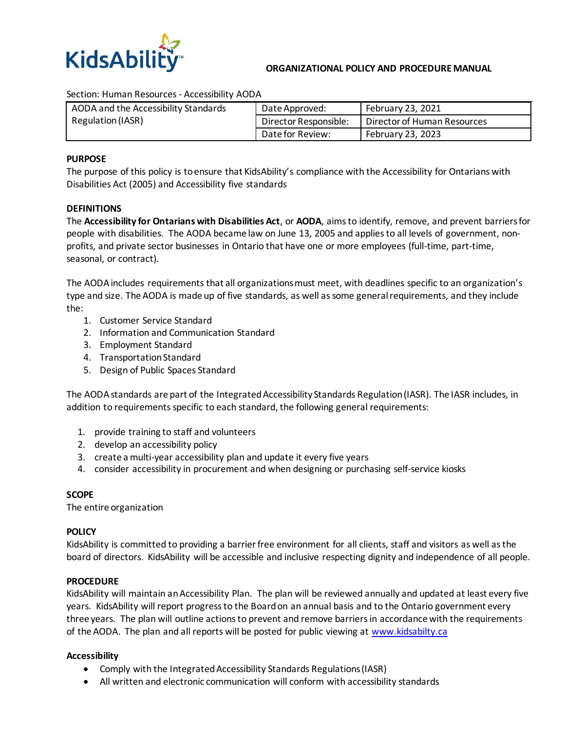

#### **ORGANIZATIONAL POLICY AND PROCEDURE MANUAL**

Section: Human Resources - Accessibility AODA

| AODA and the Accessibility Standards | Date Approved:        | February 23, 2021           |
|--------------------------------------|-----------------------|-----------------------------|
| Regulation (IASR)                    | Director Responsible: | Director of Human Resources |
|                                      | Date for Review:      | February 23, 2023           |

#### **PURPOSE**

The purpose of this policy is to ensure that KidsAbility's compliance with the Accessibility for Ontarians with Disabilities Act (2005) and Accessibility five standards

#### **DEFINITIONS**

The **Accessibility for Ontarians with Disabilities Act**, or **AODA**, aims to identify, remove, and prevent [barriers](http://accessontario.com/aoda/definitions/#def-barrier)for people with [disabilities.](http://accessontario.com/aoda/definitions/#def-disability) The AODA became law on June 13, 2005 and applies to all levels of government, nonprofits, and private sector businesses in Ontario that have one or more employees (full-time, part-time, seasonal, or contract).

The AODA includes requirements that all organizations must meet, with deadlines specific to an organization's type and size. The AODA is made up of five standards, as well as some general requirements, and they include the:

- 1. Customer Service Standard
- 2. Information and Communication Standard
- 3. Employment Standard
- 4. Transportation Standard
- 5. Design of Public Spaces Standard

The AODA standards are part of the Integrated Accessibility Standards Regulation (IASR). The IASR includes, in addition to requirements specific to each standard, the following general requirements:

- 1. provide training to staff and volunteers
- 2. develop an accessibility policy
- 3. create a multi-year accessibility plan and update it every five years
- 4. consider accessibility in procurement and when designing or purchasing self-service kiosks

#### **SCOPE**

The entire organization

#### **POLICY**

KidsAbility is committed to providing a barrier free environment for all clients, staff and visitors as well as the board of directors. KidsAbility will be accessible and inclusive respecting dignity and independence of all people.

#### **PROCEDURE**

KidsAbility will maintain anAccessibility Plan. The plan will be reviewed annually and updated at least every five years. KidsAbility will report progress to the Board on an annual basis and to the Ontario government every three years. The plan will outline actions to prevent and remove barriers in accordance with the requirements of the AODA. The plan and all reports will be posted for public viewing at [www.kidsabilty.ca](http://www.kidsabilty.ca/)

#### **Accessibility**

- Comply with the Integrated Accessibility Standards Regulations (IASR)
- All written and electronic communication will conform with accessibility standards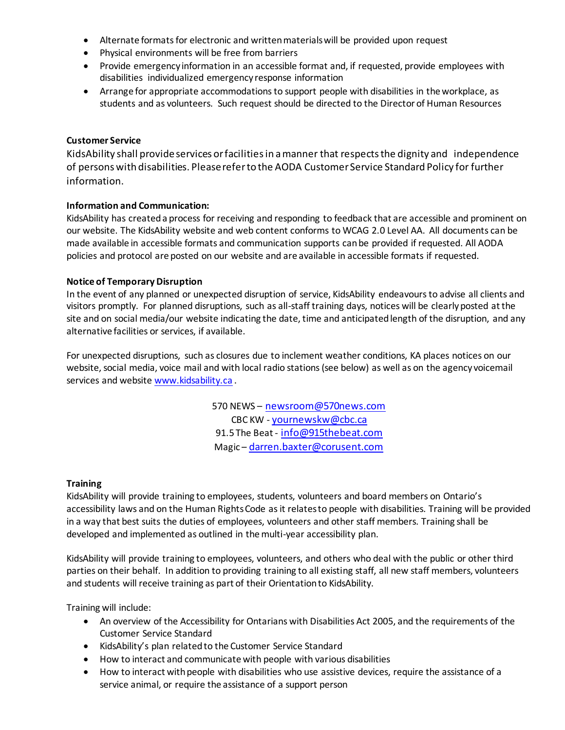- Alternate formats for electronic and written materials will be provided upon request
- Physical environments will be free from barriers
- Provide emergency information in an accessible format and, if requested, provide employees with disabilities individualized emergency response information
- Arrange for appropriate accommodations to support people with disabilities in the workplace, as students and as volunteers. Such request should be directed to the Director of Human Resources

### **Customer Service**

KidsAbility shall provideservices orfacilitiesin amanner that respectsthe dignity and independence of persons with disabilities. Please referto the AODA Customer Service Standard Policy for further information.

### **Information and Communication:**

KidsAbility has created a process for receiving and responding to feedback that are accessible and prominent on our website. The KidsAbility website and web content conforms to WCAG 2.0 Level AA. All documents can be made available in accessible formats and communication supports can be provided if requested. All AODA policies and protocol are posted on our website and are available in accessible formats if requested.

### **Notice of Temporary Disruption**

In the event of any planned or unexpected disruption of service, KidsAbility endeavours to advise all clients and visitors promptly. For planned disruptions, such as all-staff training days, notices will be clearly posted at the site and on social media/our website indicating the date, time and anticipated length of the disruption, and any alternative facilities or services, if available.

For unexpected disruptions, such as closures due to inclement weather conditions, KA places notices on our website, social media, voice mail and with local radio stations (see below) as well as on the agency voicemail services and website [www.kidsability.ca](http://www.kidsability.ca/) .

> 570 NEWS – [newsroom@570news.com](mailto:newsroom@570news.com) CBC KW - [yournewskw@cbc.ca](mailto:yournewskw@cbc.ca) 91.5 The Beat - [info@915thebeat.com](mailto:info@915thebeat.com) Magic – [darren.baxter@corusent.com](mailto:darren.baxter@corusent.com)

### **Training**

KidsAbility will provide training to employees, students, volunteers and board members on Ontario's accessibility laws and on the Human Rights Code as it relates to people with disabilities. Training will be provided in a way that best suits the duties of employees, volunteers and other staff members. Training shall be developed and implemented as outlined in the multi-year accessibility plan.

KidsAbility will provide training to employees, volunteers, and others who deal with the public or other third parties on their behalf. In addition to providing training to all existing staff, all new staff members, volunteers and students will receive training as part of their Orientation to KidsAbility.

Training will include:

- An overview of the Accessibility for Ontarians with Disabilities Act 2005, and the requirements of the Customer Service Standard
- KidsAbility's plan related to the Customer Service Standard
- How to interact and communicate with people with various disabilities
- How to interact with people with disabilities who use assistive devices, require the assistance of a service animal, or require the assistance of a support person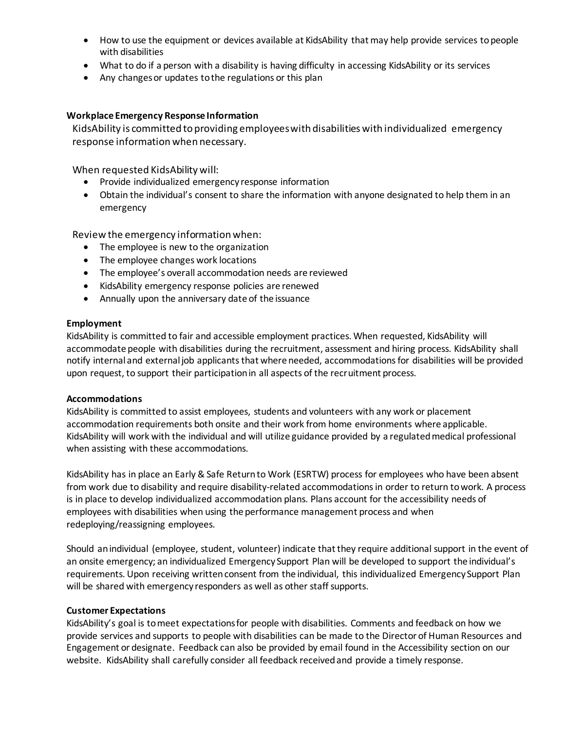- How to use the equipment or devices available at KidsAbility that may help provide services to people with disabilities
- What to do if a person with a disability is having difficulty in accessing KidsAbility or its services
- Any changes or updates to the regulations or this plan

# **Workplace Emergency Response Information**

KidsAbility is committed to providing employeeswith disabilities with individualized emergency response information when necessary.

When requested KidsAbility will:

- Provide individualized emergency response information
- Obtain the individual's consent to share the information with anyone designated to help them in an emergency

Review the emergency information when:

- The employee is new to the organization
- The employee changes work locations
- The employee's overall accommodation needs are reviewed
- KidsAbility emergency response policies are renewed
- Annually upon the anniversary date of the issuance

### **Employment**

KidsAbility is committed to fair and accessible employment practices. When requested, KidsAbility will accommodate people with disabilities during the recruitment, assessment and hiring process. KidsAbility shall notify internal and external job applicants that where needed, accommodations for disabilities will be provided upon request, to support their participation in all aspects of the recruitment process.

### **Accommodations**

KidsAbility is committed to assist employees, students and volunteers with any work or placement accommodation requirements both onsite and their work from home environments where applicable. KidsAbility will work with the individual and will utilize guidance provided by a regulated medical professional when assisting with these accommodations.

KidsAbility has in place an Early & Safe Return to Work (ESRTW) process for employees who have been absent from work due to disability and require disability-related accommodations in order to return to work. A process is in place to develop individualized accommodation plans. Plans account for the accessibility needs of employees with disabilities when using the performance management process and when redeploying/reassigning employees.

Should an individual (employee, student, volunteer) indicate that they require additional support in the event of an onsite emergency; an individualized Emergency Support Plan will be developed to support the individual's requirements. Upon receiving written consent from the individual, this individualized Emergency Support Plan will be shared with emergency responders as well as other staff supports.

### **Customer Expectations**

KidsAbility's goal is to meet expectations for people with disabilities. Comments and feedback on how we provide services and supports to people with disabilities can be made to the Director of Human Resources and Engagement or designate. Feedback can also be provided by email found in the Accessibility section on our website. KidsAbility shall carefully consider all feedback received and provide a timely response.